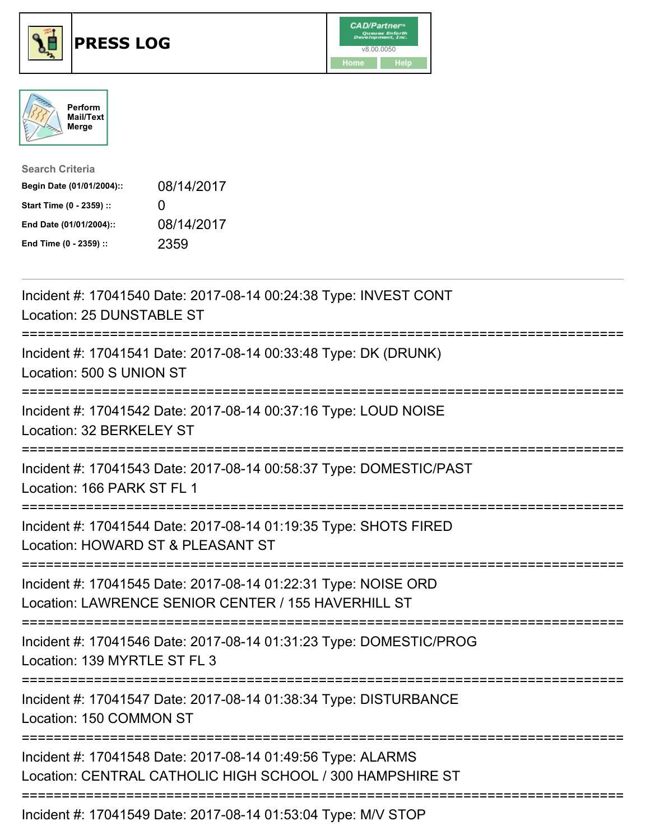





| <b>Search Criteria</b>    |              |
|---------------------------|--------------|
| Begin Date (01/01/2004):: | 08/14/2017   |
| Start Time (0 - 2359) ::  | $\mathbf{U}$ |
| End Date (01/01/2004)::   | 08/14/2017   |
| End Time (0 - 2359) ::    | 2359         |

| Incident #: 17041540 Date: 2017-08-14 00:24:38 Type: INVEST CONT<br>Location: 25 DUNSTABLE ST<br>============                                      |
|----------------------------------------------------------------------------------------------------------------------------------------------------|
| Incident #: 17041541 Date: 2017-08-14 00:33:48 Type: DK (DRUNK)<br>Location: 500 S UNION ST<br>==============                                      |
| Incident #: 17041542 Date: 2017-08-14 00:37:16 Type: LOUD NOISE<br>Location: 32 BERKELEY ST                                                        |
| Incident #: 17041543 Date: 2017-08-14 00:58:37 Type: DOMESTIC/PAST<br>Location: 166 PARK ST FL 1                                                   |
| Incident #: 17041544 Date: 2017-08-14 01:19:35 Type: SHOTS FIRED<br>Location: HOWARD ST & PLEASANT ST                                              |
| Incident #: 17041545 Date: 2017-08-14 01:22:31 Type: NOISE ORD<br>Location: LAWRENCE SENIOR CENTER / 155 HAVERHILL ST                              |
| Incident #: 17041546 Date: 2017-08-14 01:31:23 Type: DOMESTIC/PROG<br>Location: 139 MYRTLE ST FL 3                                                 |
| Incident #: 17041547 Date: 2017-08-14 01:38:34 Type: DISTURBANCE<br>Location: 150 COMMON ST                                                        |
| ;=====================<br>Incident #: 17041548 Date: 2017-08-14 01:49:56 Type: ALARMS<br>Location: CENTRAL CATHOLIC HIGH SCHOOL / 300 HAMPSHIRE ST |
| Incident #: 17041549 Date: 2017-08-14 01:53:04 Type: M/V STOP                                                                                      |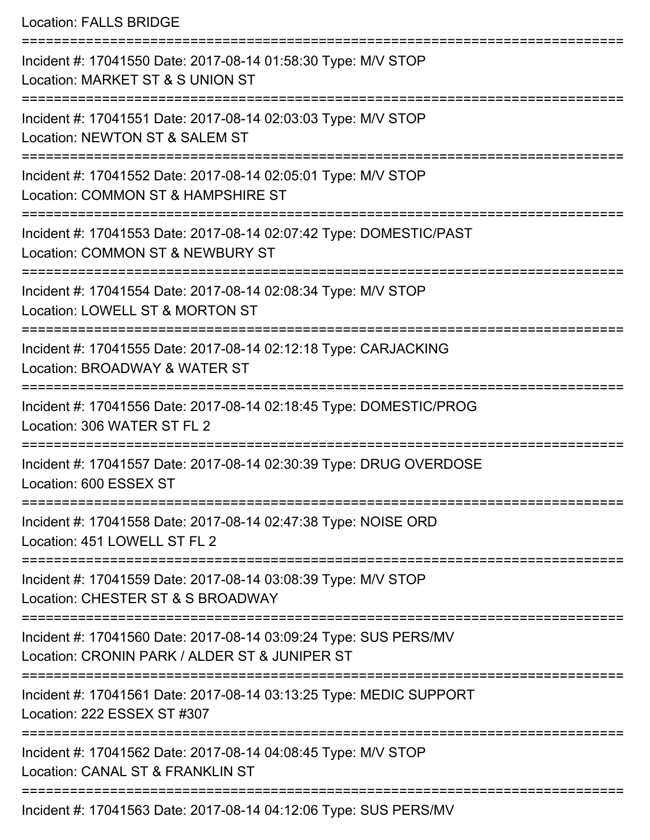Location: FALLS BRIDGE

=========================================================================== Incident #: 17041550 Date: 2017-08-14 01:58:30 Type: M/V STOP Location: MARKET ST & S UNION ST =========================================================================== Incident #: 17041551 Date: 2017-08-14 02:03:03 Type: M/V STOP Location: NEWTON ST & SALEM ST =========================================================================== Incident #: 17041552 Date: 2017-08-14 02:05:01 Type: M/V STOP Location: COMMON ST & HAMPSHIRE ST =========================================================================== Incident #: 17041553 Date: 2017-08-14 02:07:42 Type: DOMESTIC/PAST Location: COMMON ST & NEWBURY ST =========================================================================== Incident #: 17041554 Date: 2017-08-14 02:08:34 Type: M/V STOP Location: LOWELL ST & MORTON ST =========================================================================== Incident #: 17041555 Date: 2017-08-14 02:12:18 Type: CARJACKING Location: BROADWAY & WATER ST =========================================================================== Incident #: 17041556 Date: 2017-08-14 02:18:45 Type: DOMESTIC/PROG Location: 306 WATER ST FL 2 =========================================================================== Incident #: 17041557 Date: 2017-08-14 02:30:39 Type: DRUG OVERDOSE Location: 600 ESSEX ST =========================================================================== Incident #: 17041558 Date: 2017-08-14 02:47:38 Type: NOISE ORD Location: 451 LOWELL ST FL 2 =========================================================================== Incident #: 17041559 Date: 2017-08-14 03:08:39 Type: M/V STOP Location: CHESTER ST & S BROADWAY =========================================================================== Incident #: 17041560 Date: 2017-08-14 03:09:24 Type: SUS PERS/MV Location: CRONIN PARK / ALDER ST & JUNIPER ST =========================================================================== Incident #: 17041561 Date: 2017-08-14 03:13:25 Type: MEDIC SUPPORT Location: 222 ESSEX ST #307 =========================================================================== Incident #: 17041562 Date: 2017-08-14 04:08:45 Type: M/V STOP Location: CANAL ST & FRANKLIN ST =========================================================================== Incident #: 17041563 Date: 2017-08-14 04:12:06 Type: SUS PERS/MV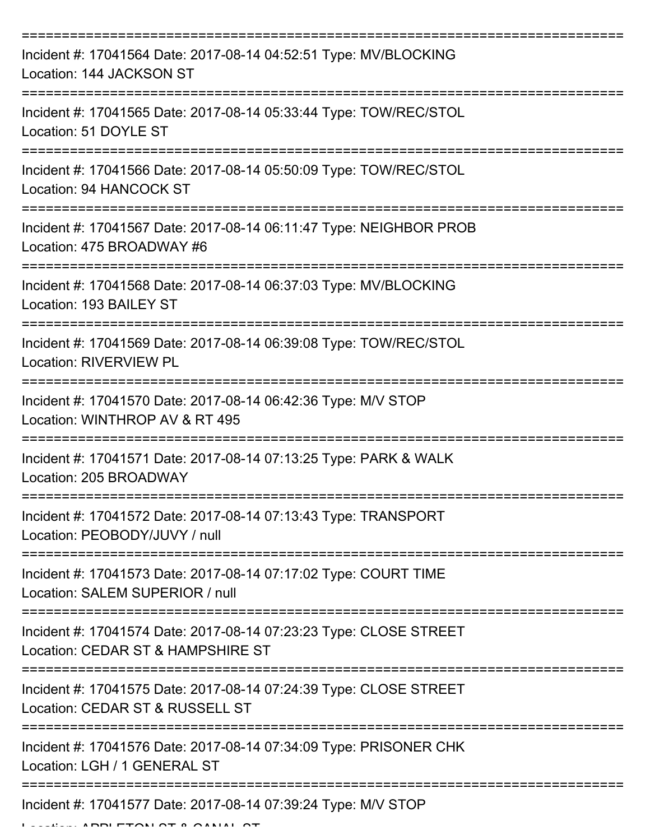| Incident #: 17041564 Date: 2017-08-14 04:52:51 Type: MV/BLOCKING<br>Location: 144 JACKSON ST                                        |
|-------------------------------------------------------------------------------------------------------------------------------------|
| Incident #: 17041565 Date: 2017-08-14 05:33:44 Type: TOW/REC/STOL<br>Location: 51 DOYLE ST                                          |
| Incident #: 17041566 Date: 2017-08-14 05:50:09 Type: TOW/REC/STOL<br>Location: 94 HANCOCK ST                                        |
| Incident #: 17041567 Date: 2017-08-14 06:11:47 Type: NEIGHBOR PROB<br>Location: 475 BROADWAY #6                                     |
| Incident #: 17041568 Date: 2017-08-14 06:37:03 Type: MV/BLOCKING<br>Location: 193 BAILEY ST<br>:=================================== |
| Incident #: 17041569 Date: 2017-08-14 06:39:08 Type: TOW/REC/STOL<br><b>Location: RIVERVIEW PL</b>                                  |
| Incident #: 17041570 Date: 2017-08-14 06:42:36 Type: M/V STOP<br>Location: WINTHROP AV & RT 495                                     |
| Incident #: 17041571 Date: 2017-08-14 07:13:25 Type: PARK & WALK<br>Location: 205 BROADWAY                                          |
| Incident #: 17041572 Date: 2017-08-14 07:13:43 Type: TRANSPORT<br>Location: PEOBODY/JUVY / null                                     |
| Incident #: 17041573 Date: 2017-08-14 07:17:02 Type: COURT TIME<br>Location: SALEM SUPERIOR / null                                  |
| Incident #: 17041574 Date: 2017-08-14 07:23:23 Type: CLOSE STREET<br>Location: CEDAR ST & HAMPSHIRE ST                              |
| Incident #: 17041575 Date: 2017-08-14 07:24:39 Type: CLOSE STREET<br>Location: CEDAR ST & RUSSELL ST                                |
| Incident #: 17041576 Date: 2017-08-14 07:34:09 Type: PRISONER CHK<br>Location: LGH / 1 GENERAL ST                                   |
| Incident #: 17041577 Date: 2017-08-14 07:39:24 Type: M/V STOP                                                                       |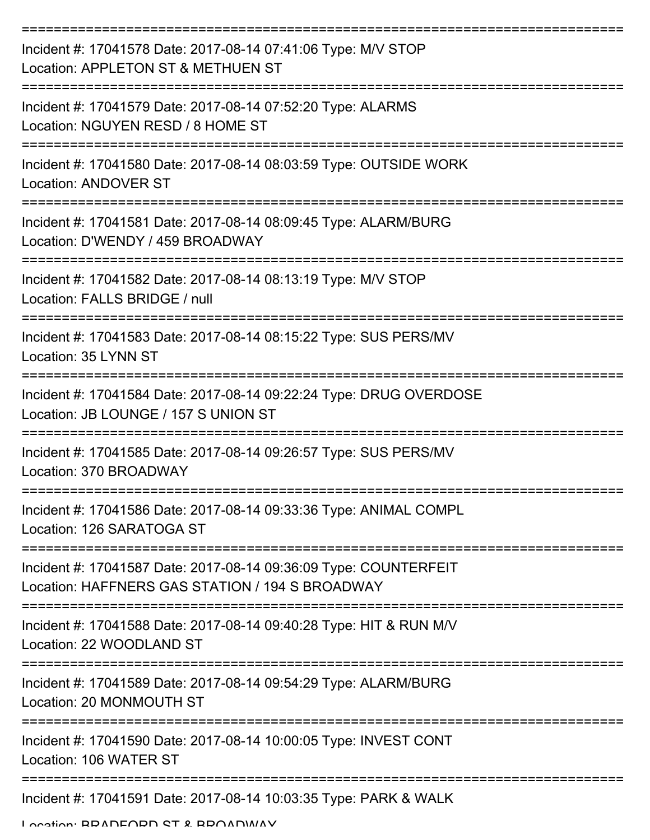| Incident #: 17041578 Date: 2017-08-14 07:41:06 Type: M/V STOP<br>Location: APPLETON ST & METHUEN ST                 |
|---------------------------------------------------------------------------------------------------------------------|
| Incident #: 17041579 Date: 2017-08-14 07:52:20 Type: ALARMS<br>Location: NGUYEN RESD / 8 HOME ST                    |
| Incident #: 17041580 Date: 2017-08-14 08:03:59 Type: OUTSIDE WORK<br><b>Location: ANDOVER ST</b>                    |
| Incident #: 17041581 Date: 2017-08-14 08:09:45 Type: ALARM/BURG<br>Location: D'WENDY / 459 BROADWAY                 |
| Incident #: 17041582 Date: 2017-08-14 08:13:19 Type: M/V STOP<br>Location: FALLS BRIDGE / null                      |
| Incident #: 17041583 Date: 2017-08-14 08:15:22 Type: SUS PERS/MV<br>Location: 35 LYNN ST                            |
| Incident #: 17041584 Date: 2017-08-14 09:22:24 Type: DRUG OVERDOSE<br>Location: JB LOUNGE / 157 S UNION ST          |
| Incident #: 17041585 Date: 2017-08-14 09:26:57 Type: SUS PERS/MV<br>Location: 370 BROADWAY                          |
| Incident #: 17041586 Date: 2017-08-14 09:33:36 Type: ANIMAL COMPL<br>Location: 126 SARATOGA ST<br>-------------     |
| Incident #: 17041587 Date: 2017-08-14 09:36:09 Type: COUNTERFEIT<br>Location: HAFFNERS GAS STATION / 194 S BROADWAY |
| Incident #: 17041588 Date: 2017-08-14 09:40:28 Type: HIT & RUN M/V<br>Location: 22 WOODLAND ST                      |
| Incident #: 17041589 Date: 2017-08-14 09:54:29 Type: ALARM/BURG<br>Location: 20 MONMOUTH ST                         |
| Incident #: 17041590 Date: 2017-08-14 10:00:05 Type: INVEST CONT<br>Location: 106 WATER ST                          |
| Incident #: 17041591 Date: 2017-08-14 10:03:35 Type: PARK & WALK                                                    |

Location: BRADFORD ST & BROADWAY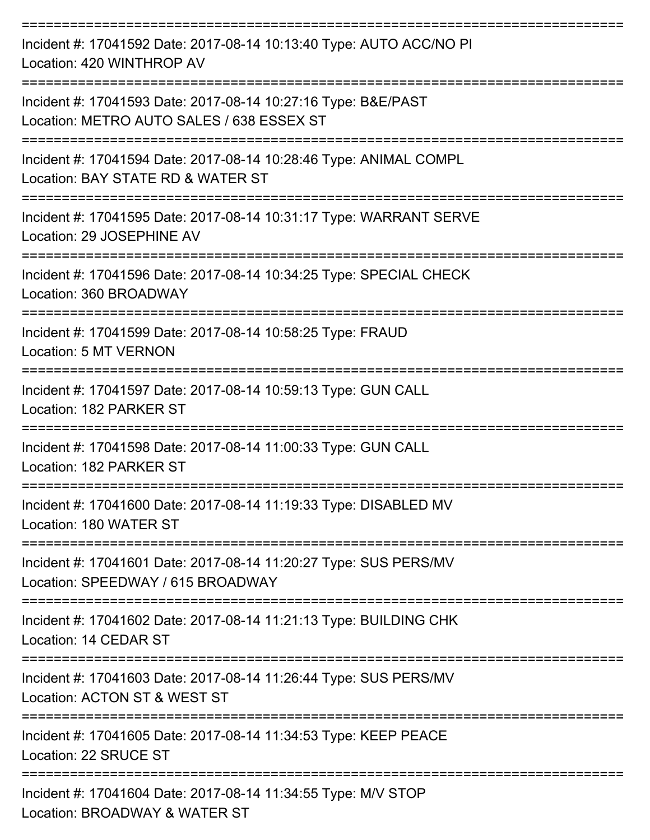| Incident #: 17041592 Date: 2017-08-14 10:13:40 Type: AUTO ACC/NO PI<br>Location: 420 WINTHROP AV                                      |
|---------------------------------------------------------------------------------------------------------------------------------------|
| Incident #: 17041593 Date: 2017-08-14 10:27:16 Type: B&E/PAST<br>Location: METRO AUTO SALES / 638 ESSEX ST                            |
| Incident #: 17041594 Date: 2017-08-14 10:28:46 Type: ANIMAL COMPL<br>Location: BAY STATE RD & WATER ST                                |
| Incident #: 17041595 Date: 2017-08-14 10:31:17 Type: WARRANT SERVE<br>Location: 29 JOSEPHINE AV                                       |
| -----------------<br>----------------<br>Incident #: 17041596 Date: 2017-08-14 10:34:25 Type: SPECIAL CHECK<br>Location: 360 BROADWAY |
| Incident #: 17041599 Date: 2017-08-14 10:58:25 Type: FRAUD<br>Location: 5 MT VERNON                                                   |
| ======================<br>Incident #: 17041597 Date: 2017-08-14 10:59:13 Type: GUN CALL<br>Location: 182 PARKER ST                    |
| Incident #: 17041598 Date: 2017-08-14 11:00:33 Type: GUN CALL<br>Location: 182 PARKER ST                                              |
| Incident #: 17041600 Date: 2017-08-14 11:19:33 Type: DISABLED MV<br>Location: 180 WATER ST                                            |
| Incident #: 17041601 Date: 2017-08-14 11:20:27 Type: SUS PERS/MV<br>Location: SPEEDWAY / 615 BROADWAY                                 |
| Incident #: 17041602 Date: 2017-08-14 11:21:13 Type: BUILDING CHK<br>Location: 14 CEDAR ST                                            |
| Incident #: 17041603 Date: 2017-08-14 11:26:44 Type: SUS PERS/MV<br>Location: ACTON ST & WEST ST                                      |
| Incident #: 17041605 Date: 2017-08-14 11:34:53 Type: KEEP PEACE<br>Location: 22 SRUCE ST                                              |
| Incident #: 17041604 Date: 2017-08-14 11:34:55 Type: M/V STOP<br>Location: BROADWAY & WATER ST                                        |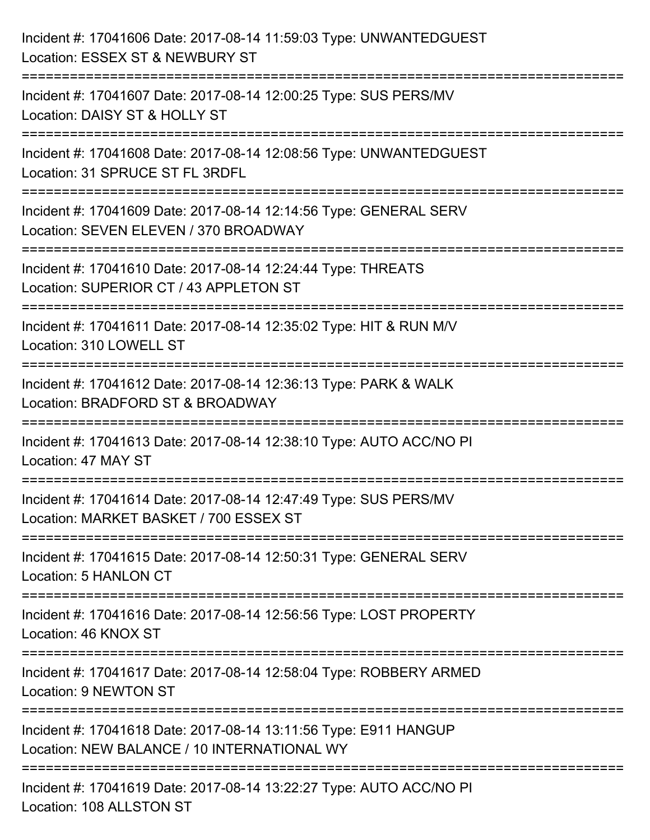| Incident #: 17041606 Date: 2017-08-14 11:59:03 Type: UNWANTEDGUEST<br>Location: ESSEX ST & NEWBURY ST                                |
|--------------------------------------------------------------------------------------------------------------------------------------|
| :=======================<br>Incident #: 17041607 Date: 2017-08-14 12:00:25 Type: SUS PERS/MV<br>Location: DAISY ST & HOLLY ST        |
| Incident #: 17041608 Date: 2017-08-14 12:08:56 Type: UNWANTEDGUEST<br>Location: 31 SPRUCE ST FL 3RDFL<br>=========================== |
| Incident #: 17041609 Date: 2017-08-14 12:14:56 Type: GENERAL SERV<br>Location: SEVEN ELEVEN / 370 BROADWAY                           |
| Incident #: 17041610 Date: 2017-08-14 12:24:44 Type: THREATS<br>Location: SUPERIOR CT / 43 APPLETON ST<br>======================     |
| Incident #: 17041611 Date: 2017-08-14 12:35:02 Type: HIT & RUN M/V<br>Location: 310 LOWELL ST                                        |
| Incident #: 17041612 Date: 2017-08-14 12:36:13 Type: PARK & WALK<br>Location: BRADFORD ST & BROADWAY                                 |
| Incident #: 17041613 Date: 2017-08-14 12:38:10 Type: AUTO ACC/NO PI<br>Location: 47 MAY ST                                           |
| Incident #: 17041614 Date: 2017-08-14 12:47:49 Type: SUS PERS/MV<br>Location: MARKET BASKET / 700 ESSEX ST                           |
| Incident #: 17041615 Date: 2017-08-14 12:50:31 Type: GENERAL SERV<br>Location: 5 HANLON CT                                           |
| Incident #: 17041616 Date: 2017-08-14 12:56:56 Type: LOST PROPERTY<br>Location: 46 KNOX ST                                           |
| Incident #: 17041617 Date: 2017-08-14 12:58:04 Type: ROBBERY ARMED<br>Location: 9 NEWTON ST                                          |
| Incident #: 17041618 Date: 2017-08-14 13:11:56 Type: E911 HANGUP<br>Location: NEW BALANCE / 10 INTERNATIONAL WY                      |
| Incident #: 17041619 Date: 2017-08-14 13:22:27 Type: AUTO ACC/NO PI<br>Location: 108 ALLSTON ST                                      |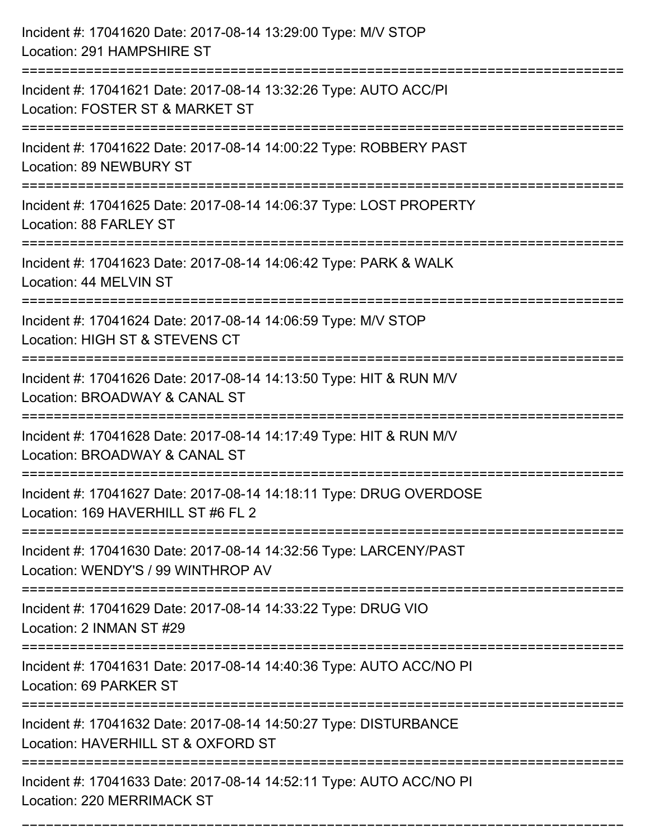| Incident #: 17041620 Date: 2017-08-14 13:29:00 Type: M/V STOP<br>Location: 291 HAMPSHIRE ST                          |
|----------------------------------------------------------------------------------------------------------------------|
| Incident #: 17041621 Date: 2017-08-14 13:32:26 Type: AUTO ACC/PI<br>Location: FOSTER ST & MARKET ST                  |
| Incident #: 17041622 Date: 2017-08-14 14:00:22 Type: ROBBERY PAST<br>Location: 89 NEWBURY ST                         |
| Incident #: 17041625 Date: 2017-08-14 14:06:37 Type: LOST PROPERTY<br>Location: 88 FARLEY ST                         |
| Incident #: 17041623 Date: 2017-08-14 14:06:42 Type: PARK & WALK<br>Location: 44 MELVIN ST                           |
| Incident #: 17041624 Date: 2017-08-14 14:06:59 Type: M/V STOP<br>Location: HIGH ST & STEVENS CT                      |
| Incident #: 17041626 Date: 2017-08-14 14:13:50 Type: HIT & RUN M/V<br>Location: BROADWAY & CANAL ST<br>------------- |
| Incident #: 17041628 Date: 2017-08-14 14:17:49 Type: HIT & RUN M/V<br>Location: BROADWAY & CANAL ST                  |
| Incident #: 17041627 Date: 2017-08-14 14:18:11 Type: DRUG OVERDOSE<br>Location: 169 HAVERHILL ST #6 FL 2             |
| Incident #: 17041630 Date: 2017-08-14 14:32:56 Type: LARCENY/PAST<br>Location: WENDY'S / 99 WINTHROP AV              |
| Incident #: 17041629 Date: 2017-08-14 14:33:22 Type: DRUG VIO<br>Location: 2 INMAN ST #29                            |
| Incident #: 17041631 Date: 2017-08-14 14:40:36 Type: AUTO ACC/NO PI<br>Location: 69 PARKER ST                        |
| Incident #: 17041632 Date: 2017-08-14 14:50:27 Type: DISTURBANCE<br>Location: HAVERHILL ST & OXFORD ST               |
| Incident #: 17041633 Date: 2017-08-14 14:52:11 Type: AUTO ACC/NO PI<br>Location: 220 MERRIMACK ST                    |

===========================================================================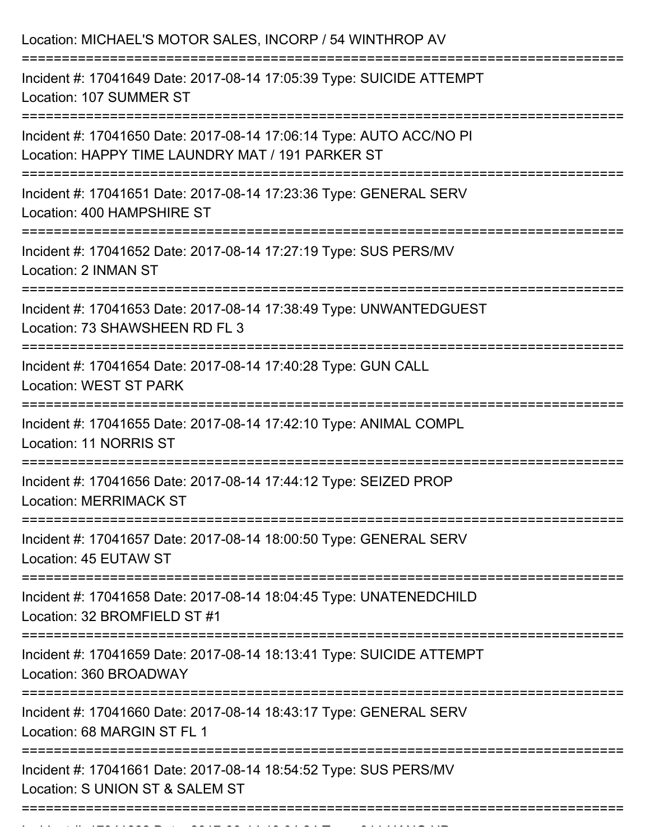| Location: MICHAEL'S MOTOR SALES, INCORP / 54 WINTHROP AV                                                                                  |
|-------------------------------------------------------------------------------------------------------------------------------------------|
| Incident #: 17041649 Date: 2017-08-14 17:05:39 Type: SUICIDE ATTEMPT<br>Location: 107 SUMMER ST<br>:===================================== |
| Incident #: 17041650 Date: 2017-08-14 17:06:14 Type: AUTO ACC/NO PI<br>Location: HAPPY TIME LAUNDRY MAT / 191 PARKER ST                   |
| Incident #: 17041651 Date: 2017-08-14 17:23:36 Type: GENERAL SERV<br>Location: 400 HAMPSHIRE ST                                           |
| Incident #: 17041652 Date: 2017-08-14 17:27:19 Type: SUS PERS/MV<br>Location: 2 INMAN ST                                                  |
| Incident #: 17041653 Date: 2017-08-14 17:38:49 Type: UNWANTEDGUEST<br>Location: 73 SHAWSHEEN RD FL 3                                      |
| Incident #: 17041654 Date: 2017-08-14 17:40:28 Type: GUN CALL<br><b>Location: WEST ST PARK</b>                                            |
| Incident #: 17041655 Date: 2017-08-14 17:42:10 Type: ANIMAL COMPL<br>Location: 11 NORRIS ST                                               |
| Incident #: 17041656 Date: 2017-08-14 17:44:12 Type: SEIZED PROP<br><b>Location: MERRIMACK ST</b>                                         |
| Incident #: 17041657 Date: 2017-08-14 18:00:50 Type: GENERAL SERV<br>Location: 45 EUTAW ST                                                |
| Incident #: 17041658 Date: 2017-08-14 18:04:45 Type: UNATENEDCHILD<br>Location: 32 BROMFIELD ST #1                                        |
| Incident #: 17041659 Date: 2017-08-14 18:13:41 Type: SUICIDE ATTEMPT<br>Location: 360 BROADWAY                                            |
| Incident #: 17041660 Date: 2017-08-14 18:43:17 Type: GENERAL SERV<br>Location: 68 MARGIN ST FL 1                                          |
| Incident #: 17041661 Date: 2017-08-14 18:54:52 Type: SUS PERS/MV<br>Location: S UNION ST & SALEM ST                                       |
|                                                                                                                                           |

Incident #: 17041662 Date: 2017 08 14 19:04:24 Type: 911 HANG UP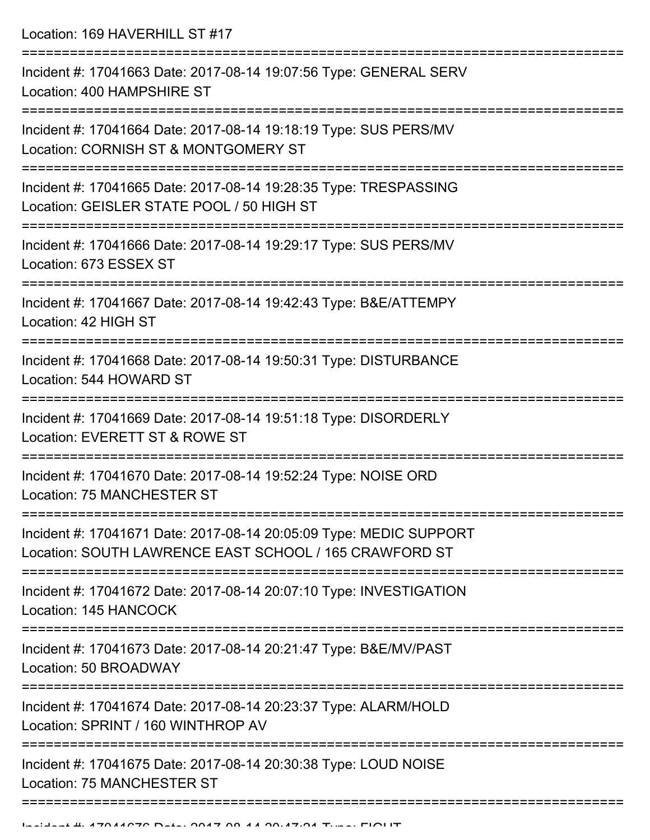Location: 169 HAVERHILL ST #17

| Incident #: 17041663 Date: 2017-08-14 19:07:56 Type: GENERAL SERV<br>Location: 400 HAMPSHIRE ST                              |
|------------------------------------------------------------------------------------------------------------------------------|
| Incident #: 17041664 Date: 2017-08-14 19:18:19 Type: SUS PERS/MV<br>Location: CORNISH ST & MONTGOMERY ST                     |
| Incident #: 17041665 Date: 2017-08-14 19:28:35 Type: TRESPASSING<br>Location: GEISLER STATE POOL / 50 HIGH ST                |
| Incident #: 17041666 Date: 2017-08-14 19:29:17 Type: SUS PERS/MV<br>Location: 673 ESSEX ST                                   |
| Incident #: 17041667 Date: 2017-08-14 19:42:43 Type: B&E/ATTEMPY<br>Location: 42 HIGH ST                                     |
| Incident #: 17041668 Date: 2017-08-14 19:50:31 Type: DISTURBANCE<br>Location: 544 HOWARD ST                                  |
| Incident #: 17041669 Date: 2017-08-14 19:51:18 Type: DISORDERLY<br>Location: EVERETT ST & ROWE ST                            |
| Incident #: 17041670 Date: 2017-08-14 19:52:24 Type: NOISE ORD<br>Location: 75 MANCHESTER ST                                 |
| Incident #: 17041671 Date: 2017-08-14 20:05:09 Type: MEDIC SUPPORT<br>Location: SOUTH LAWRENCE EAST SCHOOL / 165 CRAWFORD ST |
| Incident #: 17041672 Date: 2017-08-14 20:07:10 Type: INVESTIGATION<br>Location: 145 HANCOCK                                  |
| Incident #: 17041673 Date: 2017-08-14 20:21:47 Type: B&E/MV/PAST<br>Location: 50 BROADWAY                                    |
| Incident #: 17041674 Date: 2017-08-14 20:23:37 Type: ALARM/HOLD<br>Location: SPRINT / 160 WINTHROP AV                        |
| Incident #: 17041675 Date: 2017-08-14 20:30:38 Type: LOUD NOISE<br><b>Location: 75 MANCHESTER ST</b>                         |
|                                                                                                                              |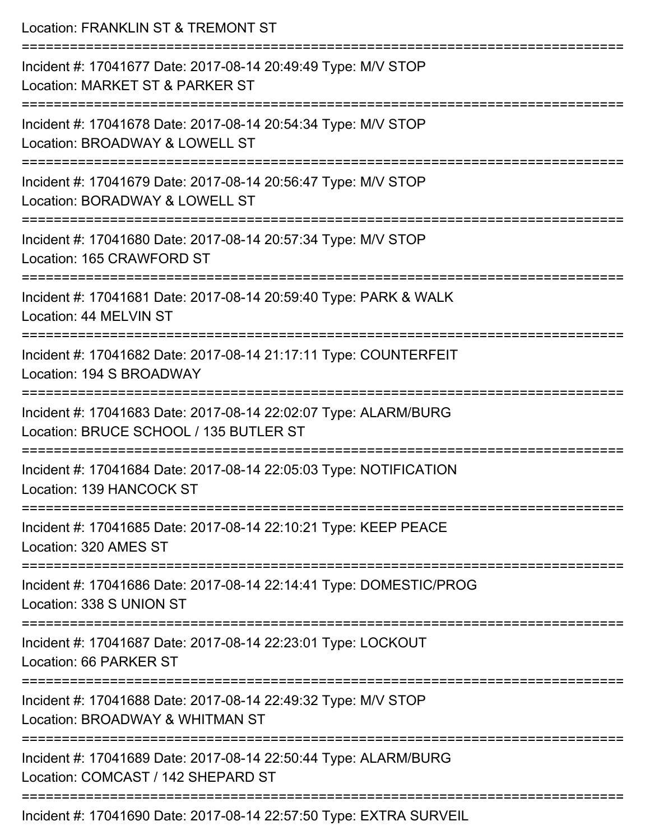| Location: FRANKLIN ST & TREMONT ST                                                                                       |
|--------------------------------------------------------------------------------------------------------------------------|
| Incident #: 17041677 Date: 2017-08-14 20:49:49 Type: M/V STOP<br>Location: MARKET ST & PARKER ST                         |
| :====================<br>Incident #: 17041678 Date: 2017-08-14 20:54:34 Type: M/V STOP<br>Location: BROADWAY & LOWELL ST |
| Incident #: 17041679 Date: 2017-08-14 20:56:47 Type: M/V STOP<br>Location: BORADWAY & LOWELL ST                          |
| Incident #: 17041680 Date: 2017-08-14 20:57:34 Type: M/V STOP<br>Location: 165 CRAWFORD ST                               |
| Incident #: 17041681 Date: 2017-08-14 20:59:40 Type: PARK & WALK<br>Location: 44 MELVIN ST                               |
| Incident #: 17041682 Date: 2017-08-14 21:17:11 Type: COUNTERFEIT<br>Location: 194 S BROADWAY                             |
| Incident #: 17041683 Date: 2017-08-14 22:02:07 Type: ALARM/BURG<br>Location: BRUCE SCHOOL / 135 BUTLER ST                |
| Incident #: 17041684 Date: 2017-08-14 22:05:03 Type: NOTIFICATION<br>Location: 139 HANCOCK ST                            |
| Incident #: 17041685 Date: 2017-08-14 22:10:21 Type: KEEP PEACE<br>Location: 320 AMES ST                                 |
| Incident #: 17041686 Date: 2017-08-14 22:14:41 Type: DOMESTIC/PROG<br>Location: 338 S UNION ST                           |
| Incident #: 17041687 Date: 2017-08-14 22:23:01 Type: LOCKOUT<br>Location: 66 PARKER ST                                   |
| Incident #: 17041688 Date: 2017-08-14 22:49:32 Type: M/V STOP<br>Location: BROADWAY & WHITMAN ST                         |
| Incident #: 17041689 Date: 2017-08-14 22:50:44 Type: ALARM/BURG<br>Location: COMCAST / 142 SHEPARD ST                    |
| Incident #: 17041690 Date: 2017-08-14 22:57:50 Type: EXTRA SURVEIL                                                       |